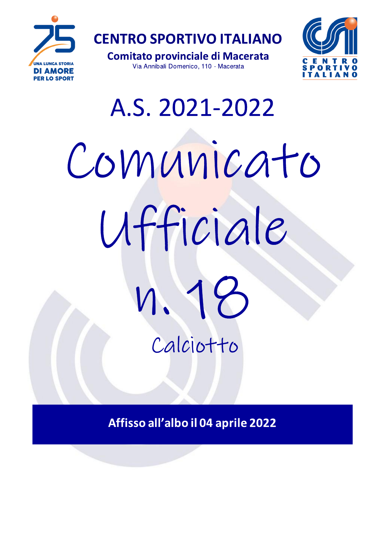

**Comitato provinciale di Macerata** Via Annibali Domenico, 110 - Macerata



# A.S. 2021-2022 Comunicato Ufficiale Calciotto

Affisso all'albo il 04 aprile 2022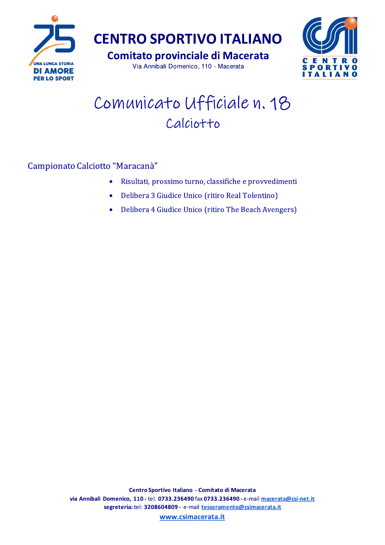

**CENTRO SPORTIVO ITALIANO** 

**Comitato provinciale di Macerata** Via Annibali Domenico, 110 - Macerata



## Comunicato Ufficiale n. 18 Calciotto

Campionato Calciotto "Maracanà"

- Risultati, prossimo turno, classifiche e provvedimenti  $\bullet$
- Delibera 3 Giudice Unico (ritiro Real Tolentino)
- Delibera 4 Giudice Unico (ritiro The Beach Avengers)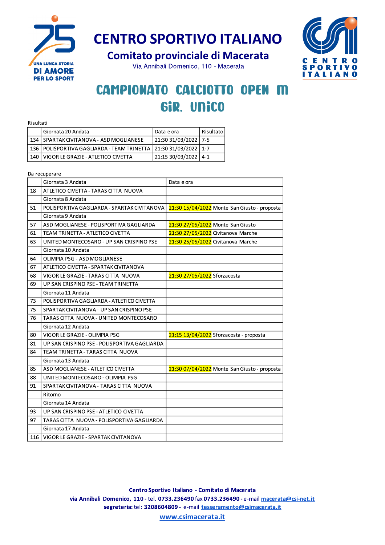

**Comitato provinciale di Macerata** 

Via Annibali Domenico, 110 - Macerata



## **CAMPIONATO CALCIOTTO OPEN M** GiR. UNICO

| Risultati |                                                                       |                      |           |  |  |  |
|-----------|-----------------------------------------------------------------------|----------------------|-----------|--|--|--|
|           | Giornata 20 Andata                                                    | Data e ora           | Risultato |  |  |  |
|           | 134 SPARTAK CIVITANOVA - ASD MOGLIANESE                               | 21:30 31/03/2022 7-5 |           |  |  |  |
|           | 136   POLISPORTIVA GAGLIARDA - TEAM TRINETTA   21:30 31/03/2022   1-7 |                      |           |  |  |  |
|           | 140   VIGOR LE GRAZIE - ATLETICO CIVETTA                              | 21:15 30/03/2022 4-1 |           |  |  |  |

|     | Da recuperare                                |                                              |
|-----|----------------------------------------------|----------------------------------------------|
|     | Giornata 3 Andata                            | Data e ora                                   |
| 18  | ATLETICO CIVETTA - TARAS CITTA NUOVA         |                                              |
|     | Giornata 8 Andata                            |                                              |
| 51  | POLISPORTIVA GAGLIARDA - SPARTAK CIVITANOVA  | 21:30 15/04/2022 Monte San Giusto - proposta |
|     | Giornata 9 Andata                            |                                              |
| 57  | ASD MOGLIANESE - POLISPORTIVA GAGLIARDA      | 21:30 27/05/2022 Monte San Giusto            |
| 61  | TEAM TRINETTA - ATLETICO CIVETTA             | 21:30 27/05/2022 Civitanova Marche           |
| 63  | UNITED MONTECOSARO - UP SAN CRISPINO PSE     | 21:30 25/05/2022 Civitanova Marche           |
|     | Giornata 10 Andata                           |                                              |
| 64  | OLIMPIA PSG - ASD MOGLIANESE                 |                                              |
| 67  | ATLETICO CIVETTA - SPARTAK CIVITANOVA        |                                              |
| 68  | VIGOR LE GRAZIE - TARAS CITTA NUOVA          | 21:30 27/05/2022 Sforzacosta                 |
| 69  | UP SAN CRISPINO PSE - TEAM TRINETTA          |                                              |
|     | Giornata 11 Andata                           |                                              |
| 73  | POLISPORTIVA GAGLIARDA - ATLETICO CIVETTA    |                                              |
| 75  | SPARTAK CIVITANOVA - UP SAN CRISPINO PSE     |                                              |
| 76  | TARAS CITTA NUOVA - UNITED MONTECOSARO       |                                              |
|     | Giornata 12 Andata                           |                                              |
| 80  | VIGOR LE GRAZIE - OLIMPIA PSG                | 21:15 13/04/2022 Sforzacosta - proposta      |
| 81  | UP SAN CRISPINO PSE - POLISPORTIVA GAGLIARDA |                                              |
| 84  | TEAM TRINETTA - TARAS CITTA NUOVA            |                                              |
|     | Giornata 13 Andata                           |                                              |
| 85  | ASD MOGLIANESE - ATLETICO CIVETTA            | 21:30 07/04/2022 Monte San Giusto - proposta |
| 88  | UNITED MONTECOSARO - OLIMPIA PSG             |                                              |
| 91  | SPARTAK CIVITANOVA - TARAS CITTA NUOVA       |                                              |
|     | Ritorno                                      |                                              |
|     | Giornata 14 Andata                           |                                              |
| 93  | UP SAN CRISPINO PSE - ATLETICO CIVETTA       |                                              |
| 97  | TARAS CITTA NUOVA - POLISPORTIVA GAGLIARDA   |                                              |
|     | Giornata 17 Andata                           |                                              |
| 116 | VIGOR LE GRAZIE - SPARTAK CIVITANOVA         |                                              |

Centro Sportivo Italiano - Comitato di Macerata via Annibali Domenico, 110 - tel. 0733.236490 fax 0733.236490 - e-mail macerata@csi-net.it segreteria: tel: 3208604809 - e-mail tesseramento@csimacerata.it

www.csimacerata.it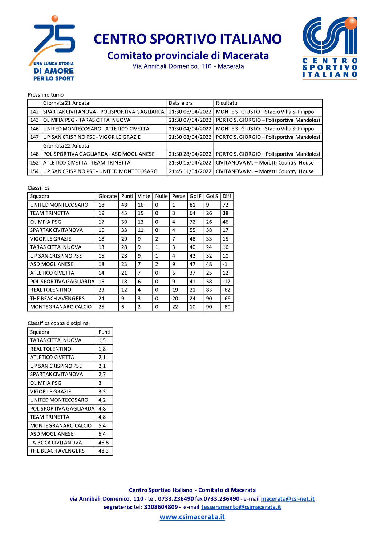

**Comitato provinciale di Macerata** 

Via Annibali Domenico, 110 - Macerata



#### Prossimo turno

|     | Giornata 21 Andata                            | Data e ora       | Risultato                                                    |
|-----|-----------------------------------------------|------------------|--------------------------------------------------------------|
| 142 | SPARTAK CIVITANOVA - POLISPORTIVA GAGLIARDA I |                  | 21:30 06/04/2022   MONTE S. GIUSTO - Stadio Villa S. Filippo |
| 143 | OLIMPIA PSG - TARAS CITTA NUOVA               | 21:30 07/04/2022 | PORTO S. GIORGIO - Polisportiva Mandolesi                    |
| 146 | UNITED MONTECOSARO - ATLETICO CIVETTA         | 21:30 04/04/2022 | MONTE S. GIUSTO - Stadio Villa S. Filippo                    |
| 147 | UP SAN CRISPINO PSE - VIGOR LE GRAZIE         |                  | 21:30 08/04/2022   PORTO S. GIORGIO - Polisportiva Mandolesi |
|     | Giornata 22 Andata                            |                  |                                                              |
| 148 | POLISPORTIVA GAGLIARDA - ASD MOGLIANESE       | 21:30 28/04/2022 | PORTO S. GIORGIO - Polisportiva Mandolesi                    |
| 152 | ATLETICO CIVETTA - TEAM TRINETTA              | 21:30 15/04/2022 | CIVITANOVA M. - Moretti Country House                        |
|     | 154 UP SAN CRISPINO PSE - UNITED MONTECOSARO  |                  | 21:45 11/04/2022   CIVITANOVA M. - Moretti Country House     |

#### Classifica

| Squadra                | Giocate | Punti | Vinte          | <b>Nulle</b>   | Perse | Gol F | Gol S | <b>Diff</b> |
|------------------------|---------|-------|----------------|----------------|-------|-------|-------|-------------|
| UNITED MONTECOSARO     | 18      | 48    | 16             | 0              | 1     | 81    | 9     | 72          |
| TEAM TRINETTA          | 19      | 45    | 15             | $\Omega$       | 3     | 64    | 26    | 38          |
| <b>OLIMPIA PSG</b>     | 17      | 39    | 13             | $\Omega$       | 4     | 72    | 26    | 46          |
| SPARTAK CIVITANOVA     | 16      | 33    | 11             | 0              | 4     | 55    | 38    | 17          |
| <b>VIGOR LE GRAZIE</b> | 18      | 29    | 9              | $\mathcal{P}$  | 7     | 48    | 33    | 15          |
| TARAS CITTA NUOVA      | 13      | 28    | 9              | $\mathbf{1}$   | 3     | 40    | 24    | 16          |
| UP SAN CRISPINO PSE    | 15      | 28    | 9              | $\mathbf{1}$   | 4     | 42    | 32    | 10          |
| ASD MOGLIANESE         | 18      | 23    | 7              | $\mathfrak{p}$ | 9     | 47    | 48    | $-1$        |
| ATLETICO CIVETTA       | 14      | 21    | 7              | <sup>0</sup>   | 6     | 37    | 25    | 12          |
| POLISPORTIVA GAGLIARDA | 16      | 18    | 6              | $\Omega$       | 9     | 41    | 58    | $-17$       |
| <b>REAL TOLENTINO</b>  | 23      | 12    | 4              | $\Omega$       | 19    | 21    | 83    | $-62$       |
| THE BEACH AVENGERS     | 24      | 9     | 3              | $\Omega$       | 20    | 24    | 90    | -66         |
| MONTEGRANARO CALCIO    | 25      | 6     | $\overline{2}$ | $\Omega$       | 22    | 10    | 90    | $-80$       |

#### Classifica coppa disciplina

| Squadra                | Punti |
|------------------------|-------|
| TARAS CITTA NUOVA      | 1,5   |
| REAL TOLENTINO         | 1,8   |
| ATLETICO CIVETTA       | 2,1   |
| UP SAN CRISPINO PSE    | 2,1   |
| SPARTAK CIVITANOVA     | 2,7   |
| OLIMPIA PSG            | 3     |
| VIGOR LE GRAZIE        | 3,3   |
| UNITED MONTECOSARO     | 4,2   |
| POLISPORTIVA GAGLIARDA | 4.8   |
| TEAM TRINETTA          | 4.8   |
| MONTEGRANARO CALCIO    | 5,4   |
| ASD MOGLIANESE         | 5,4   |
| LA BOCA CIVITANOVA     | 46.8  |
| THE BEACH AVENGERS     | 48.3  |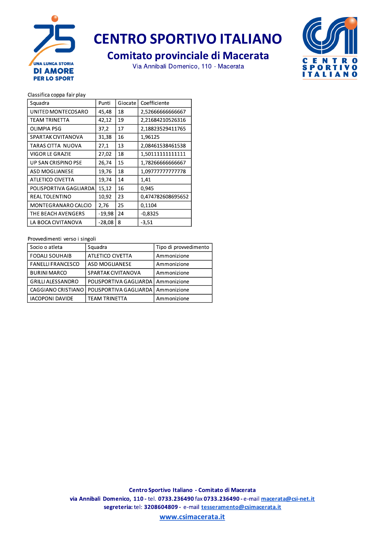

### **Comitato provinciale di Macerata**

Via Annibali Domenico, 110 - Macerata



#### Classifica coppa fair play

| Squadra                    | Punti    | Giocate | Coefficiente      |
|----------------------------|----------|---------|-------------------|
| UNITED MONTECOSARO         | 45,48    | 18      | 2,5266666666667   |
| TEAM TRINETTA              | 42,12    | 19      | 2,21684210526316  |
| <b>OLIMPIA PSG</b>         | 37,2     | 17      | 2,18823529411765  |
| SPARTAK CIVITANOVA         | 31,38    | 16      | 1.96125           |
| TARAS CITTA NUOVA          | 27,1     | 13      | 2,08461538461538  |
| VIGOR LE GRAZIE            | 27,02    | 18      | 1,50111111111111  |
| UP SAN CRISPINO PSE        | 26,74    | 15      | 1,7826666666667   |
| <b>ASD MOGLIANESE</b>      | 19,76    | 18      | 1,09777777777778  |
| <b>ATLETICO CIVETTA</b>    | 19,74    | 14      | 1,41              |
| POLISPORTIVA GAGLIARDA     | 15,12    | 16      | 0,945             |
| <b>REAL TOLENTINO</b>      | 10,92    | 23      | 0,474782608695652 |
| <b>MONTEGRANARO CALCIO</b> | 2,76     | 25      | 0,1104            |
| THE BEACH AVENGERS         | $-19,98$ | 24      | $-0.8325$         |
| LA BOCA CIVITANOVA         | $-28,08$ | 8       | $-3.51$           |

#### Provvedimenti verso i singoli

| Socio o atleta           | Squadra                | Tipo di provvedimento |
|--------------------------|------------------------|-----------------------|
| <b>FODALI SOUHAIB</b>    | ATLETICO CIVETTA       | Ammonizione           |
| <b>FANELLI FRANCESCO</b> | <b>ASD MOGLIANESE</b>  | Ammonizione           |
| <b>BURINI MARCO</b>      | SPARTAK CIVITANOVA     | Ammonizione           |
| <b>GRILLI ALESSANDRO</b> | POLISPORTIVA GAGLIARDA | Ammonizione           |
| CAGGIANO CRISTIANO I     | POLISPORTIVA GAGLIARDA | Ammonizione           |
| <b>IACOPONI DAVIDE</b>   | <b>TEAM TRINETTA</b>   | Ammonizione           |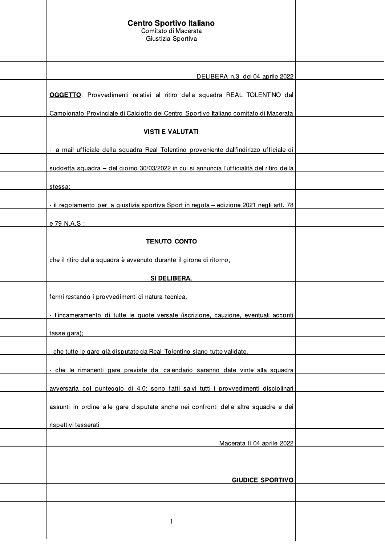| <b>Centro Sportivo Italiano</b><br>Comitato di Macerata<br>Giustizia Sportiva              |  |
|--------------------------------------------------------------------------------------------|--|
| DELIBERA n.3 del 04 aprile 2022                                                            |  |
| OGGETTO: Provvedimenti relativi al ritiro della squadra REAL TOLENTINO dal                 |  |
| Campionato Provinciale di Calciotto del Centro Sportivo Italiano comitato di Macerata      |  |
| <b>VISTI E VALUTATI</b>                                                                    |  |
| - la mail ufficiale della squadra Real Tolentino proveniente dall'indirizzo ufficiale di   |  |
| suddetta squadra – del giorno 30/03/2022 in cui si annuncia l'ufficialità del ritiro della |  |
| stessa:                                                                                    |  |
| - il regolamento per la giustizia sportiva Sport in regola - edizione 2021 negli artt. 78  |  |
| e 79 N.A.S.;                                                                               |  |
| <b>TENUTO CONTO</b>                                                                        |  |
| che il ritiro della squadra è avvenuto durante il girone di ritorno,                       |  |
| SI DELIBERA,                                                                               |  |
| fermi restando i provvedimenti di natura tecnica,                                          |  |
| - l'incameramento di tutte le quote versate (iscrizione, cauzione, eventuali acconti       |  |
| tasse gara);                                                                               |  |
| - che tutte le gare già disputate da Real Tolentino siano tutte validate.                  |  |
| - che le rimanenti gare previste dal calendario saranno date vinte alla squadra            |  |
| avversaria col punteggio di 4-0; sono fatti salvi tutti i provvedimenti disciplinari       |  |
| assunti in ordine alle gare disputate anche nei confronti delle altre squadre e dei        |  |
| rispettivi tesserati                                                                       |  |
| Macerata lì 04 aprile 2022                                                                 |  |
|                                                                                            |  |
| <b>GIUDICE SPORTIVO</b>                                                                    |  |
|                                                                                            |  |
| 1                                                                                          |  |
|                                                                                            |  |

 $\overline{\phantom{a}}$ 

 $\vert$